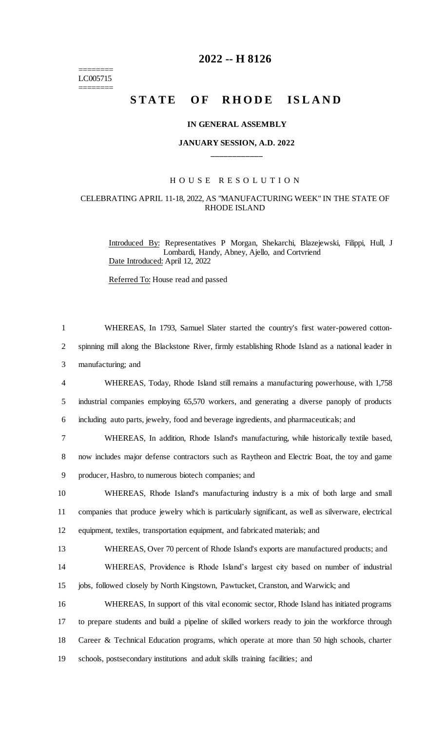======== LC005715 ========

## **2022 -- H 8126**

# **STATE OF RHODE ISLAND**

#### **IN GENERAL ASSEMBLY**

#### **JANUARY SESSION, A.D. 2022 \_\_\_\_\_\_\_\_\_\_\_\_**

#### H O U S E R E S O L U T I O N

### CELEBRATING APRIL 11-18, 2022, AS "MANUFACTURING WEEK" IN THE STATE OF RHODE ISLAND

Introduced By: Representatives P Morgan, Shekarchi, Blazejewski, Filippi, Hull, J Lombardi, Handy, Abney, Ajello, and Cortvriend Date Introduced: April 12, 2022

Referred To: House read and passed

 WHEREAS, In 1793, Samuel Slater started the country's first water-powered cotton- spinning mill along the Blackstone River, firmly establishing Rhode Island as a national leader in manufacturing; and WHEREAS, Today, Rhode Island still remains a manufacturing powerhouse, with 1,758 industrial companies employing 65,570 workers, and generating a diverse panoply of products including auto parts, jewelry, food and beverage ingredients, and pharmaceuticals; and WHEREAS, In addition, Rhode Island's manufacturing, while historically textile based, now includes major defense contractors such as Raytheon and Electric Boat, the toy and game producer, Hasbro, to numerous biotech companies; and WHEREAS, Rhode Island's manufacturing industry is a mix of both large and small companies that produce jewelry which is particularly significant, as well as silverware, electrical equipment, textiles, transportation equipment, and fabricated materials; and WHEREAS, Over 70 percent of Rhode Island's exports are manufactured products; and WHEREAS, Providence is Rhode Island's largest city based on number of industrial jobs, followed closely by North Kingstown, Pawtucket, Cranston, and Warwick; and WHEREAS, In support of this vital economic sector, Rhode Island has initiated programs to prepare students and build a pipeline of skilled workers ready to join the workforce through Career & Technical Education programs, which operate at more than 50 high schools, charter schools, postsecondary institutions and adult skills training facilities; and